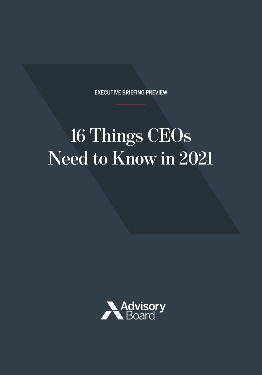EXECUTIVE BRIEFING PREVIEW

# **16 Things CEOs Need to Know in 2021**

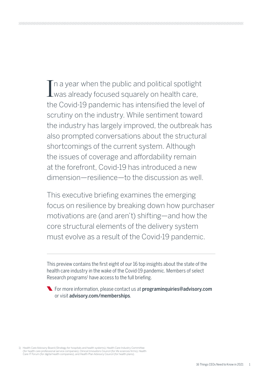In a year when the public and political spotlight<br>I was already focused squarely on health care, was already focused squarely on health care, the Covid-19 pandemic has intensified the level of scrutiny on the industry. While sentiment toward the industry has largely improved, the outbreak has also prompted conversations about the structural shortcomings of the current system. Although the issues of coverage and affordability remain at the forefront, Covid-19 has introduced a new dimension—resilience—to the discussion as well.

This executive briefing examines the emerging focus on resilience by breaking down how purchaser motivations are (and aren't) shifting—and how the core structural elements of the delivery system must evolve as a result of the Covid-19 pandemic.

This preview contains the first eight of our 16 top insights about the state of the health care industry in the wake of the Covid-19 pandemic. Members of select Research programs<sup>1</sup> have access to the full briefing.

**The Formore information, please contact us at [programinquiries@advisory.com](mailto:programinquiries%40advisory.com?subject=)** or visit [advisory.com/memberships](http://advisory.com/memberships).

1) Health Care Advisory Board (Strategy for hospitals and health systems), Health Care Industry Committee (for health care professional service companies), Clinical Innovators Council (for life sciences firms), Health Care IT Forum (for digital health companies), and Health Plan Advisory Council (for health plans).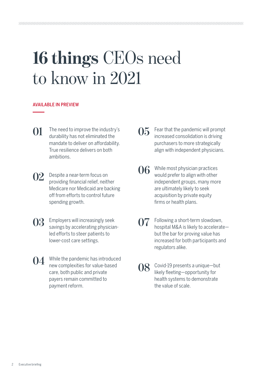# **16 things** CEOs need to know in 2021

# AVAILABLE IN PREVIEW

- **01** [The need to improve the industry's](#page-4-0)  durability has not eliminated the [mandate to deliver on affordability.](#page-4-0)  [True resilience delivers on both](#page-4-0)  [ambitions.](#page-4-0)
- **02** [Despite a near-term focus on](#page-6-0)  providing financial relief, neither [Medicare nor Medicaid are backing](#page-6-0)  [off from efforts to control future](#page-6-0)  [spending growth.](#page-6-0)
- **03** Employers will increasingly seek [savings by accelerating physician](#page-8-0)[led efforts to steer patients to](#page-8-0)  [lower-cost care settings.](#page-8-0)
- **04** [While the pandemic has introduced](#page-10-0)  [new complexities for value-based](#page-10-0)  [care, both public and private](#page-10-0)  payers [remain committed to](#page-10-0)  [payment reform.](#page-10-0)
- **05** [Fear that the pandemic will prompt](#page-12-0)  increased consolidation is driving [purchasers to more strategically](#page-12-0)  [align with independent physicians.](#page-12-0)
- **06** While most physician practices would prefer to align with other [independent groups, many more](#page-14-0)  are ultimately likely to seek [acquisition by private equity](#page-14-0)  firms or [health plans.](#page-14-0)
- **07** [Following a short-term slowdown,](#page-16-0)  [hospital M&A is likely to accelerate](#page-16-0) but the bar for proving value has [increased for both participants and](#page-16-0)  [regulators alike.](#page-16-0)
- **08** [Covid-19 presents a unique—but](#page-18-0)  likely fleeting—opportunity for [health systems to demonstrate](#page-18-0)  the [value of scale.](#page-18-0)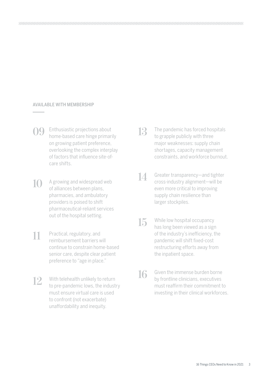# AVAILABLE WITH MEMBERSHIP

- **09** Enthusiastic projections about home-based care hinge primarily on growing patient preference, overlooking the complex interplay of factors that influence site-ofcare shifts.
- **10** A growing and widespread web of alliances between plans, pharmacies, and ambulatory providers is poised to shift pharmaceutical-reliant services out of the hospital setting.
- 11 Practical, regulatory, and reimbursement barriers will continue to constrain home-based senior care, despite clear patient preference to "age in place."
- **12** With telehealth unlikely to return to pre-pandemic lows, the industry must ensure virtual care is used to confront (not exacerbate) unaffordability and inequity.
- 13 The pandemic has forced hospitals to grapple publicly with three major weaknesses: supply chain shortages, capacity management constraints, and workforce burnout.
- **14** Greater transparency—and tighter cross-industry alignment—will be even more critical to improving supply chain resilience than larger stockpiles.
- 15 While low hospital occupancy has long been viewed as a sign of the industry's inefficiency, the pandemic will shift fixed-cost restructuring efforts away from the inpatient space.
- **16** Given the immense burden borne by frontline clinicians, executives must reaffirm their commitment to investing in their clinical workforces.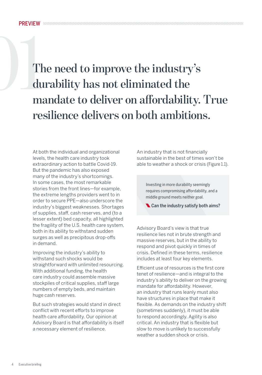<span id="page-4-0"></span>The need to improve the industry's durability has not eliminated the mandate to deliver on affordability. True **durability has not eliminated the resilience delivers on both ambitions.** 

> At both the individual and organizational levels, the health care industry took extraordinary action to battle Covid-19. But the pandemic has also exposed many of the industry's shortcomings. In some cases, the most remarkable stories from the front lines—for example, the extreme lengths providers went to in order to secure PPE—also underscore the industry's biggest weaknesses. Shortages of supplies, staff, cash reserves, and (to a lesser extent) bed capacity, all highlighted the fragility of the U.S. health care system, both in its ability to withstand sudden surges as well as precipitous drop-offs in demand.

> Improving the industry's ability to withstand such shocks would be straightforward with unlimited resourcing. With additional funding, the health care industry could assemble massive stockpiles of critical supplies, staff large numbers of empty beds, and maintain huge cash reserves.

> But such strategies would stand in direct conflict with recent efforts to improve health care affordability. Our opinion at Advisory Board is that affordability is itself a necessary element of resilience.

An industry that is not financially sustainable in the best of times won't be able to weather a shock or crisis (Figure 1.1).

Investing in more durability seemingly requires compromising affordability, and a middle ground meets neither goal.

Can the industry satisfy both aims?

Advisory Board's view is that true resilience lies not in brute strength and massive reserves, but in the ability to respond and pivot quickly in times of crisis. Defined in these terms, resilience includes at least four key elements.

Efficient use of resources is the first core tenet of resilience—and is integral to the industry's ability to deliver on the growing mandate for affordability. However, an industry that runs leanly must also have structures in place that make it flexible. As demands on the industry shift (sometimes suddenly), it must be able to respond accordingly. Agility is also critical. An industry that is flexible but slow to move is unlikely to successfully weather a sudden shock or crisis.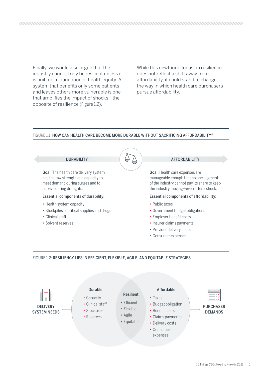Finally, we would also argue that the industry cannot truly be resilient unless it is built on a foundation of health equity. A system that benefits only some patients and leaves others more vulnerable is one that amplifies the impact of shocks—the opposite of resilience (Figure 1.2).

While this newfound focus on resilience does not reflect a shift away from affordability, it could stand to change the way in which health care purchasers pursue affordability.

# FIGURE 1.1: HOW CAN HEALTH CARE BECOME MORE DURABLE WITHOUT SACRIFICING AFFORDABILITY?



# FIGURE 1.2: RESILIENCY LIES IN EFFICIENT, FLEXIBLE, AGILE, AND EQUITABLE STRATEGIES

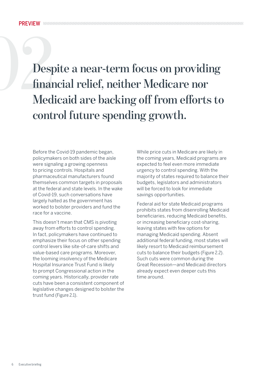<span id="page-6-0"></span>**1022**<br> **1022**<br> **1022**<br> **1022**<br> **1022**<br> **1022**<br> **1022**<br> **1022**<br> **1022**<br> **1022**<br> **1022**<br> **1022**<br> **1022**<br> **1022**<br> **1032**<br> **1032**<br> **1032**<br> **1032**<br> **104**<br> **104**<br> **104**<br> **104**<br> **104**<br> **104**<br> **104**<br> **104**<br> **104**<br> **104**<br> **104**<br> **financial relief, neither Medicare nor control future spending growth.** 

> Before the Covid-19 pandemic began, policymakers on both sides of the aisle were signaling a growing openness to pricing controls. Hospitals and pharmaceutical manufacturers found themselves common targets in proposals at the federal and state levels. In the wake of Covid-19, such conversations have largely halted as the government has worked to bolster providers and fund the race for a vaccine.

This doesn't mean that CMS is pivoting away from efforts to control spending. In fact, policymakers have continued to emphasize their focus on other spending control levers like site-of-care shifts and value-based care programs. Moreover, the looming insolvency of the Medicare Hospital Insurance Trust Fund is likely to prompt Congressional action in the coming years. Historically, provider rate cuts have been a consistent component of legislative changes designed to bolster the trust fund (Figure 2.1).

While price cuts in Medicare are likely in the coming years, Medicaid programs are expected to feel even more immediate urgency to control spending. With the majority of states required to balance their budgets, legislators and administrators will be forced to look for immediate savings opportunities.

Federal aid for state Medicaid programs prohibits states from disenrolling Medicaid beneficiaries, reducing Medicaid benefits, or increasing beneficiary cost-sharing, leaving states with few options for managing Medicaid spending. Absent additional federal funding, most states will likely resort to Medicaid reimbursement cuts to balance their budgets (Figure 2.2). Such cuts were common during the Great Recession—and Medicaid directors already expect even deeper cuts this time around.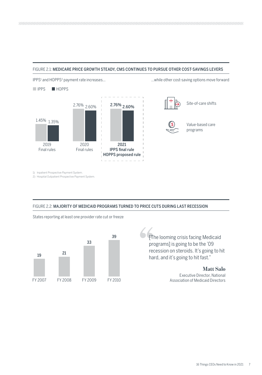# FIGURE 2.1: MEDICARE PRICE GROWTH STEADY, CMS CONTINUES TO PURSUE OTHER COST-SAVINGS LEVERS



1) Inpatient Prospective Payment System.

2) Hospital Outpatient Prospective Payment System.

# FIGURE 2.2: MAJORITY OF MEDICAID PROGRAMS TURNED TO PRICE CUTS DURING LAST RECESSION

States reporting at least one provider rate cut or freeze



[The looming crisis facing Medicaid programs] is going to be the '09 recession on steroids. It's going to hit hard, and it's going to hit fast."

> **Matt Salo** Executive Director, National Association of Medicaid Directors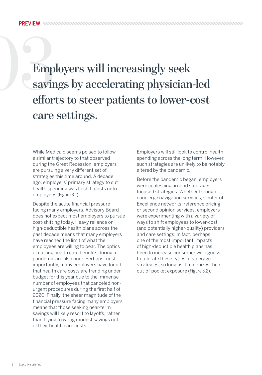<span id="page-8-0"></span>Employers will increasingly seek<br>
savings by accelerating physician-led<br>
efforts to steer patients to lower-cost **savings by accelerating physician-led care settings.** 

> While Medicaid seems poised to follow a similar trajectory to that observed during the Great Recession, employers are pursuing a very different set of strategies this time around. A decade ago, employers' primary strategy to cut health spending was to shift costs onto employees (Figure 3.1).

Despite the acute financial pressure facing many employers, Advisory Board does not expect most employers to pursue cost-shifting today. Heavy reliance on high-deductible health plans across the past decade means that many employers have reached the limit of what their employees are willing to bear. The optics of cutting health care benefits during a pandemic are also poor. Perhaps most importantly, many employers have found that health care costs are trending under budget for this year due to the immense number of employees that canceled nonurgent procedures during the first half of 2020. Finally, the sheer magnitude of the financial pressure facing many employers means that those seeking near-term savings will likely resort to layoffs, rather than trying to wring modest savings out of their health care costs.

Employers will still look to control health spending across the long term. However, such strategies are unlikely to be notably altered by the pandemic.

Before the pandemic began, employers were coalescing around steeragefocused strategies. Whether through concierge navigation services, Center of Excellence networks, reference pricing, or second opinion services, employers were experimenting with a variety of ways to shift employees to lower-cost (and potentially higher-quality) providers and care settings. In fact, perhaps one of the most important impacts of high-deductible health plans has been to increase consumer willingness to tolerate these types of steerage strategies, so long as it minimizes their out-of-pocket exposure (Figure 3.2).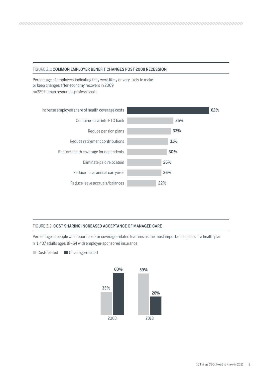# FIGURE 3.1: COMMON EMPLOYER BENEFIT CHANGES POST-2008 RECESSION

Percentage of employers indicating they were likely or very likely to make or keep changes after economy recovers in 2009 n=329 human resources professionals



# FIGURE 3.2: COST SHARING INCREASED ACCEPTANCE OF MANAGED CARE

Percentage of people who report cost- or coverage-related features as the most important aspects in a health plan n=1,407 adults ages 18–64 with employer-sponsored insurance

Cost-related Coverage-related

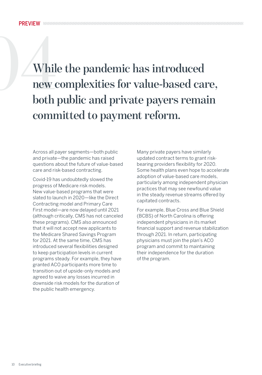<span id="page-10-0"></span>While the pandemic has introduced<br>
new complexities for value-based can<br>
both public and private payers rema **new complexities for value-based care, both public and private payers remain committed to payment reform.** 

> Across all payer segments—both public and private—the pandemic has raised questions about the future of value-based care and risk-based contracting.

> Covid-19 has undoubtedly slowed the progress of Medicare risk models. New value-based programs that were slated to launch in 2020—like the Direct Contracting model and Primary Care First model—are now delayed until 2021 (although critically, CMS has not canceled these programs). CMS also announced that it will not accept new applicants to the Medicare Shared Savings Program for 2021. At the same time, CMS has introduced several flexibilities designed to keep participation levels in current programs steady. For example, they have granted ACO participants more time to transition out of upside-only models and agreed to waive any losses incurred in downside risk models for the duration of the public health emergency.

Many private payers have similarly updated contract terms to grant riskbearing providers flexibility for 2020. Some health plans even hope to accelerate adoption of value-based care models, particularly among independent physician practices that may see newfound value in the steady revenue streams offered by capitated contracts.

For example, Blue Cross and Blue Shield (BCBS) of North Carolina is offering independent physicians in its market financial support and revenue stabilization through 2021. In return, participating physicians must join the plan's ACO program and commit to maintaining their independence for the duration of the program.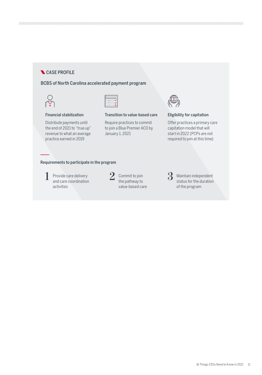# CASE PROFILE

# BCBS of North Carolina accelerated payment program





# Financial stabilization

Distribute payments until the end of 2021 to "true up" revenue to what an average practice earned in 2019

Require practices to commit to join a Blue Premier ACO by January 1, 2021

Transition to value-based care



# Eligibility for capitation

Offer practices a primary care capitation model that will start in 2022 (PCPs are not required to join at this time)

# Requirements to participate in the program

Provide care delivery and care coordination activities **1** Provide care delivery  $\sum$  commit to join and care coordination



value-based care

**3** Maintain independent<br>status for the duration status for the duration of the program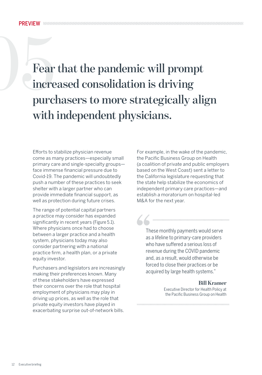<span id="page-12-0"></span>Fear that the pandemic will prompt **increased consolidation is driving purchasers to more strategically align with independent physicians.** 

 $\blacktriangle \blacktriangle$ 

Efforts to stabilize physician revenue come as many practices—especially small primary care and single-specialty groups face immense financial pressure due to Covid-19. The pandemic will undoubtedly push a number of these practices to seek shelter with a larger partner who can provide immediate financial support, as well as protection during future crises.

The range of potential capital partners a practice may consider has expanded significantly in recent years (Figure 5.1). Where physicians once had to choose between a larger practice and a health system, physicians today may also consider partnering with a national practice firm, a health plan, or a private equity investor.

Purchasers and legislators are increasingly making their preferences known. Many of these stakeholders have expressed their concerns over the role that hospital employment of physicians may play in driving up prices, as well as the role that private equity investors have played in exacerbating surprise out-of-network bills.

For example, in the wake of the pandemic, the Pacific Business Group on Health (a coalition of private and public employers based on the West Coast) sent a letter to the California legislature requesting that the state help stabilize the economics of independent primary care practices—and establish a moratorium on hospital-led M&A for the next year.

These monthly payments would serve as a lifeline to primary-care providers who have suffered a serious loss of revenue during the COVID pandemic and, as a result, would otherwise be forced to close their practices or be acquired by large health systems."

# **Bill Kramer**

Executive Director for Health Policy at the Pacific Business Group on Health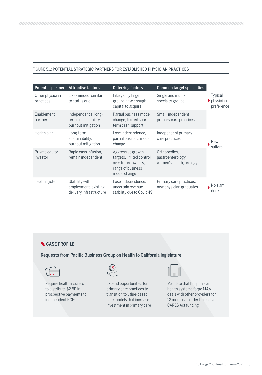# FIGURE 5.1: POTENTIAL STRATEGIC PARTNERS FOR ESTABLISHED PHYSICIAN PRACTICES

| Potential partner            | <b>Attractive factors</b>                                         | Deterring factors                                                                                         | Common target specialties                                    |                                           |
|------------------------------|-------------------------------------------------------------------|-----------------------------------------------------------------------------------------------------------|--------------------------------------------------------------|-------------------------------------------|
| Other physician<br>practices | Like-minded, similar<br>to status quo                             | Likely only large<br>groups have enough<br>capital to acquire                                             | Single and multi-<br>specialty groups                        | <b>Typical</b><br>physician<br>preference |
| Enablement<br>partner        | Independence, long-<br>term sustainability.<br>burnout mitigation | Partial business model<br>change, limited short-<br>term cash support                                     | Small, independent<br>primary care practices                 |                                           |
| Health plan                  | Long-term<br>sustainability,<br>burnout mitigation                | Lose independence,<br>partial business model<br>change                                                    | Independent primary<br>care practices                        | <b>New</b><br>suitors                     |
| Private equity<br>investor   | Rapid cash infusion,<br>remain independent                        | Aggressive growth<br>targets, limited control<br>over future owners.<br>range of business<br>model change | Orthopedics,<br>gastroenterology.<br>women's health, urology |                                           |
| Health system                | Stability with<br>employment, existing<br>delivery infrastructure | Lose independence,<br>uncertain revenue<br>stability due to Covid-19                                      | Primary care practices,<br>new physician graduates           | No slam<br>dunk                           |

# **CASE PROFILE**

# Requests from Pacific Business Group on Health to California legislature



Require health insurers to distribute \$2.5B in prospective payments to independent PCPs



Expand opportunities for primary care practices to transition to value-based care models that increase investment in primary care



Mandate that hospitals and health systems forgo M&A deals with other providers for 12 months in order to receive CARES Act funding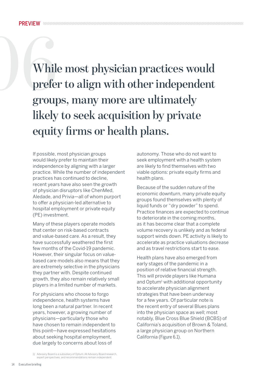<span id="page-14-0"></span>While most physician practices would<br>prefer to align with other independent<br>groups, many more are ultimately **prefer to align with other independent groups, many more are ultimately likely to seek acquisition by private equity firms or health plans.**

> If possible, most physician groups would likely prefer to maintain their independence by aligning with a larger practice. While the number of independent practices has continued to decline, recent years have also seen the growth of physician disruptors like ChenMed, Aledade, and Privia—all of whom purport to offer a physician-led alternative to hospital employment or private equity (PE) investment.

Many of these players operate models that center on risk-based contracts and value-based care. As a result, they have successfully weathered the first few months of the Covid-19 pandemic. However, their singular focus on valuebased care models also means that they are extremely selective in the physicians they partner with. Despite continued growth, they also remain relatively small players in a limited number of markets.

For physicians who choose to forgo independence, health systems have long been a natural partner. In recent years, however, a growing number of physicians—particularly those who have chosen to remain independent to this point—have expressed hesitations about seeking hospital employment, due largely to concerns about loss of

autonomy. Those who do not want to seek employment with a health system are likely to find themselves with two viable options: private equity firms and health plans.

Because of the sudden nature of the economic downturn, many private equity groups found themselves with plenty of liquid funds or "dry powder" to spend. Practice finances are expected to continue to deteriorate in the coming months, as it has become clear that a complete volume recovery is unlikely and as federal support winds down. PE activity is likely to accelerate as practice valuations decrease and as travel restrictions start to ease.

Health plans have also emerged from early stages of the pandemic in a position of relative financial strength. This will provide players like Humana and Optum<sup>1</sup> with additional opportunity to accelerate physician alignment strategies that have been underway for a few years. Of particular note is the recent entry of several Blues plans into the physician space as well; most notably, Blue Cross Blue Shield (BCBS) of California's acquisition of Brown & Toland, a large physician group on Northern California (Figure 6.1).

<sup>1)</sup> Advisory Board is a subsidiary of Optum. All Advisory Board research, expert perspectives, and recommendations remain independent.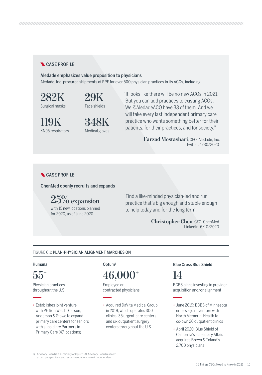# **CASE PROFILE**

# Aledade emphasizes value proposition to physicians

Aledade, Inc. procured shipments of PPE for over 500 physician practices in its ACOs, including:

**282K** Surgical masks

**29K** Face shields

**119K** KN95 respirators



"It looks like there will be no new ACOs in 2021. But you can add practices to existing ACOs. We @AledadeACO have 38 of them. And we will take every last independent primary care practice who wants something better for their patients, for their practices, and for society."

> **Farzad Mostashari**, CEO, Aledade, Inc. Twitter, 4/30/2020

# **CASE PROFILE**

ChenMed openly recruits and expands

**25% expansion** with 15 new locations planned for 2020, as of June 2020

"Find a like-minded physician-led and run practice that's big enough and stable enough to help today and for the long term."

> **Christopher Chen**, CEO, ChenMed LinkedIn, 6/10/2020

# FIGURE 6.1: PLAN-PHYSICIAN ALIGNMENT MARCHES ON



Physician practices throughout the U.S.

• Establishes joint venture with PE firm Welsh, Carson, Anderson & Stowe to expand primary care centers for seniors with subsidiary Partners in Primary Care (47 locations)

**55+ 46,000+ 14**

Employed or contracted physicians

• Acquired DaVita Medical Group in 2019, which operates 300 clinics, 35 urgent-care centers, and six outpatient surgery centers throughout the U.S.

# Humana Optum1 Blue Cross Blue Shield

BCBS plans investing in provider acquisition and/or alignment

- June 2019: BCBS of Minnesota enters a joint venture with North Memorial Health to co-own 20 outpatient clinics
- April 2020: Blue Shield of California's subsidiary Altais acquires Brown & Toland's 2,700 physicians

1) Advisory Board is a subsidiary of Optum. All Advisory Board research, expert perspectives, and recommendations remain independent.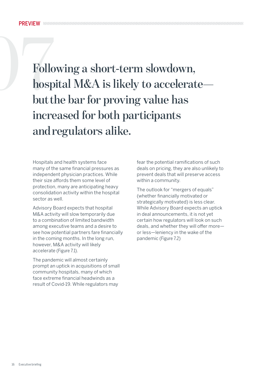<span id="page-16-0"></span>Following a short-term slowdown,<br>hospital M&A is likely to accelerat<br>but the bar for proving value has **hospital M&A is likely to accelerate but the bar for proving value has increased for both participants and regulators alike.** 

> Hospitals and health systems face many of the same financial pressures as independent physician practices. While their size affords them some level of protection, many are anticipating heavy consolidation activity within the hospital sector as well.

Advisory Board expects that hospital M&A activity will slow temporarily due to a combination of limited bandwidth among executive teams and a desire to see how potential partners fare financially in the coming months. In the long run, however, M&A activity will likely accelerate (Figure 7.1).

The pandemic will almost certainly prompt an uptick in acquisitions of small community hospitals, many of which face extreme financial headwinds as a result of Covid-19. While regulators may

fear the potential ramifications of such deals on pricing, they are also unlikely to prevent deals that will preserve access within a community.

The outlook for "mergers of equals" (whether financially motivated or strategically motivated) is less clear. While Advisory Board expects an uptick in deal announcements, it is not yet certain how regulators will look on such deals, and whether they will offer more or less—leniency in the wake of the pandemic (Figure 7.2)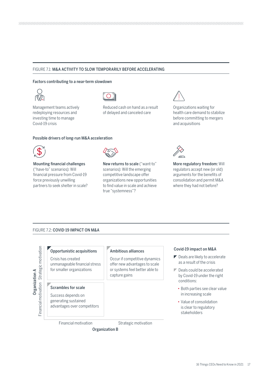# FIGURE 7.1: M&A ACTIVITY TO SLOW TEMPORARILY BEFORE ACCELERATING

### Factors contributing to a near-term slowdown



Management teams actively redeploying resources and investing time to manage Covid-19 crisis



Reduced cash on hand as a result of delayed and canceled care



Organizations waiting for health care demand to stabilize before committing to mergers and acquisitions

# Possible drivers of long-run M&A acceleration



Mounting financial challenges ("have-to" scenarios): Will financial pressure from Covid-19 force previously unwilling partners to seek shelter in scale?



New returns to scale ("want-to" scenarios): Will the emerging competitive landscape offer organizations new opportunities to find value in scale and achieve true "systemness"?



More regulatory freedom: Will regulators accept new (or old) arguments for the benefits of consolidation and permit M&A where they had not before?

## FIGURE 7.2: COVID-19 IMPACT ON M&A



# Opportunistic acquisitions Crisis has created

unmanageable financial stress for smaller organizations

### Scrambles for scale

Success depends on generating sustained advantages over competitors

## Ambitious alliances

Occur if competitive dynamics offer new advantages to scale or systems feel better able to capture gains

# Covid-19 impact on M&A

- $\blacktriangleright$  Deals are likely to accelerate as a result of the crisis
- Deals could be accelerated by Covid-19 under the right conditions:
	- Both parties see clear value in increasing scale
	- Value of consolidation is clear to regulatory stakeholders

Financial motivation

Strategic motivation

Organization B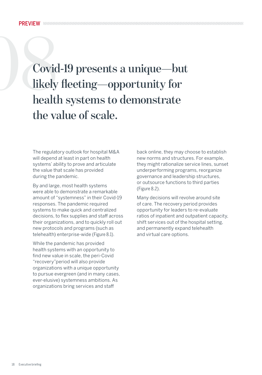# <span id="page-18-0"></span>08**Covid-19 presents a unique—but likely fleeting—opportunity for health systems to demonstrate the value of scale.**

The regulatory outlook for hospital M&A will depend at least in part on health systems' ability to prove and articulate the value that scale has provided during the pandemic.

By and large, most health systems were able to demonstrate a remarkable amount of "systemness" in their Covid-19 responses. The pandemic required systems to make quick and centralized decisions, to flex supplies and staff across their organizations, and to quickly roll out new protocols and programs (such as telehealth) enterprise-wide (Figure 8.1).

While the pandemic has provided health systems with an opportunity to find new value in scale, the peri-Covid "recovery"period will also provide organizations with a unique opportunity to pursue evergreen (and in many cases, ever-elusive) systemness ambitions. As organizations bring services and staff

back online, they may choose to establish new norms and structures. For example, they might rationalize service lines, sunset underperforming programs, reorganize governance and leadership structures, or outsource functions to third parties (Figure 8.2).

Many decisions will revolve around site of care. The recovery period provides opportunity for leaders to re-evaluate ratios of inpatient and outpatient capacity, shift services out of the hospital setting, and permanently expand telehealth and virtual care options.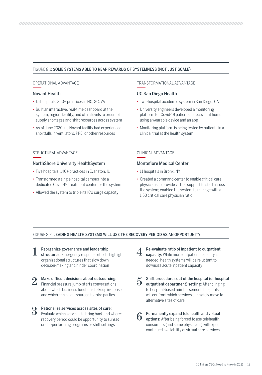# FIGURE 8.1: SOME SYSTEMS ABLE TO REAP REWARDS OF SYSTEMNESS (NOT JUST SCALE)

# OPERATIONAL ADVANTAGE

# Novant Health

- 15 hospitals, 350+ practices in NC, SC, VA
- Built an interactive, real-time dashboard at the system, region, facility, and clinic levels to preempt supply shortages and shift resources across system
- As of June 2020, no Novant facility had experienced shortfalls in ventilators, PPE, or other resources

# STRUCTURAL ADVANTAGE

# NorthShore University HealthSystem

• Five hospitals, 140+ practices in Evanston, IL

- Transformed a single hospital campus into a dedicated Covid-19 treatment center for the system
- Allowed the system to triple its ICU surge capacity

# TRANSFORMATIONAL ADVANTAGE

# UC San Diego Health

- Two-hospital academic system in San Diego, CA
- University engineers developed a monitoring platform for Covid-19 patients to recover at home using a wearable device and an app
- Monitoring platform is being tested by patients in a clinical trial at the health system

# CLINICAL ADVANTAGE

# Montefiore Medical Center

• 11 hospitals in Bronx, NY

• Created a command center to enable critical care physicians to provide virtual support to staff across the system; enabled the system to manage with a 1:50 critical care physician ratio

# FIGURE 8.2: LEADING HEALTH SYSTEMS WILL USE THE RECOVERY PERIOD AS AN OPPORTUNITY

- Reorganize governance and leadership structures: Emergency response efforts highlight organizational structures that slow down decision-making and hinder coordination
- Make difficult decisions about outsourcing: about which business functions to keep in-house and which can be outsourced to third parties
- Rationalize services across sites of care: **3** Rationalize services across sites of care:<br> **3** Evaluate which services to bring back and where; **C** Permanently expand telehealth and virtual recovery period could be opportunity to sunset under-performing programs or shift settings
- **1** Re-evaluate ratio of inpatient to outpatient capacity: While more outpatient capacity is needed, health systems will be reluctant to downsize acute inpatient capacity **4**
- 2 Make difficult decisions about outsourcing:<br> **2** Shift procedures out of the hospital (or hospital Financial pressure jump-starts conversations outpatient department) setting: After clinging to hospital-based reimbursement, hospitals will confront which services can safely move to alternative sites of care **5**
	- options: After being forced to use telehealth, consumers (and some physicians) will expect continued availability of virtual care services **6**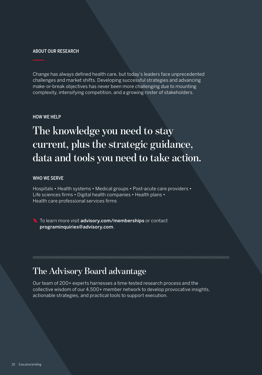# ABOUT OUR RESEARCH

Change has always defined health care, but today's leaders face unprecedented challenges and market shifts. Developing successful strategies and advancing make-or-break objectives has never been more challenging due to mounting complexity, intensifying competition, and a growing roster of stakeholders.

# HOW WE HELP

# **The knowledge you need to stay current, plus the strategic guidance, data and tools you need to take action.**

# WHO WE SERVE

Hospitals • Health systems • Medical groups • Post-acute care providers • Life sciences firms • Digital health companies • Health plans • Health care professional services firms

To learn more visit advisory.com/memberships or contact programinquiries@advisory.com.

# **The Advisory Board advantage**

Our team of 200+ experts harnesses a time-tested research process and the collective wisdom of our 4,500+ member network to develop provocative insights, actionable strategies, and practical tools to support execution.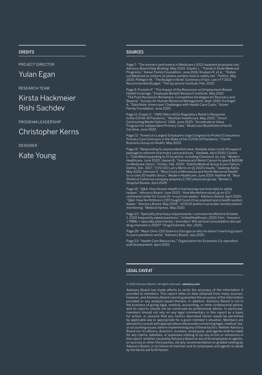# **CREDITS**

PROJECT DIRECTOR

Yulan Egan

RESEARCH TEAM

# Kirsta Hackmeier Rishi Sachdev

PROGRAM LEADERSHIP

# Christopher Kerns

DESIGNER

Kate Young

# SOURCES

Page 7: "The winners (and losers) in Medicare's 2021 inpatient proposed rule," *Advisory Board Daily Briefing*, May 2020; Snyder L, "Trends in State Medicaid Programs," Kaiser Family Foundation, June 2016; Roubein R, et al., "States cut Medicaid as millions of jobless workers look to safety net," *Politico*, May 2020; Pellegrin M, "The Budget in Brief: Summary of Gov. Lee's FY 2021 Recommended Budget," The Sycamore Institute, Feb. 2020.

Page 9: Fronstin P, "The Impact of the Recession on Employment-Based Health Coverage," Employee Benefit Research Institute, May 2010; "The Post-Recession Workplace: Competitive Strategies for Recovery and Beyond," Society for Human Resource Management, Sept. 2010; Kirzinger .<br>'Data Note: Americans' Challenges with Health Care Costs," Kaiser Family Foundation, June 2019.

Page 11: Emper C, "CMS Offers ACOs Regulatory Relief in Response to the COVID-19 Pandemic," NextGen Healthcare, May 2020; "Direct Contracting Model Options" CMS, June 2020; "Accelerate to Value Program for Independent Primary Care," BlueCross BlueShield of North Carolina, June 2020.

Page 13: "America's Largest Employers Urge Congress to Protect Consumers, Primary Care Clinicians in the Wake of the COVID-19 Pandemic," Pacific Business Group on Health, May 2020.

Page 15: "Responding to unprecedented need, Aledade ships covid-19 support<br>package to network of primary care practices," Aledade, April 2020; Coutre<br>L, "ChenMed expanding to 15 locations, including Cleveland, by July," Mo *Healthcare*, June 2020; Japsen B, "Humana and Welsh Carson to spend \$600M on Medicare clinics," *Forbes*, Feb. 2020; "DaVita Medical Group to join Optum," DaVita, Dec. 2017; "CVS CEO Larry Merlo on Q1 2020 results," Seeking Alpha, May 2020; Johnson S, "Blue Cross of Minnesota and North Memorial Health to co-own 20 health clinics," *Modern Healthcare*, June 2019; Haefner M, "Blue Shield of California company acquires 2,700-physician group," Becker's Hospital Review, April 2020.

Page 19: "Q&A: How Novant Health is harnessing real-time data to safely<br>reopen," Advisory Board, June 2020; "How Montefiore stood up an ICU<br>command center for Covid-19—in just two weeks," Advisory Board, April 2020; "Q&A: How NorthShore's CEO fought Covid-19 as a patient and a health system leader," Advisory Board, May 2020; "eCOVID platform provides remote patient monitoring," Medical Xpress, May 2020.

Page 23: "Specialty pharmacy requirements—commercial effective October 1, 2020 frequently asked questions," UnitedHealthcare, 2020; Fein, "Insurers + PBMs + specialty pharmacies + providers: Will vertical consolidation disrupt drug channels in 2020?" Drug Channels, Dec. 2020.

Page 28: "Mayo Clinic CEO Gianrico Farrugia on why he doesn't want to go back to a pre-pandemic world," Advisory Board, July 2020.

Page 33: "Health Care Resources," Organization for Economic Co-operation and Development, April 2020.

## LEGAL CAVEAT

#### © 2020 Advisory Board • All rights reserved • advisory.com

Advisory Board has made efforts to verify the accuracy of the information it provides to members. This report relies on data obtained from many sources, however, and Advisory Board cannot guarantee the accuracy of the information provided or any analysis based thereon. In addition, Advisory Board is not in the business of giving legal, medical, accounting, or other professional advice, and its reports should not be construed as professional advice. In particular, members should not rely on any legal commentary in this report as a basis for action, or assume that any tactics described herein would be permitted by applicable law or appropriate for a given member's situation. Members are advised to consult with appropriate professionals concerning legal, medical, tax, or accounting issues, before implementing any of these tactics. Neither Advisory Board nor its officers, directors, trustees, employees, and agents shall be liable for any claims, liabilities, or expenses relating to (a) any errors or omissions in this report, whether caused by Advisory Board or any of its employees or agents, or sources or other third parties, (b) any recommendation or graded ranking by Advisory Board, or (c) failure of member and its employees and agents to abide by the terms set forth herein.